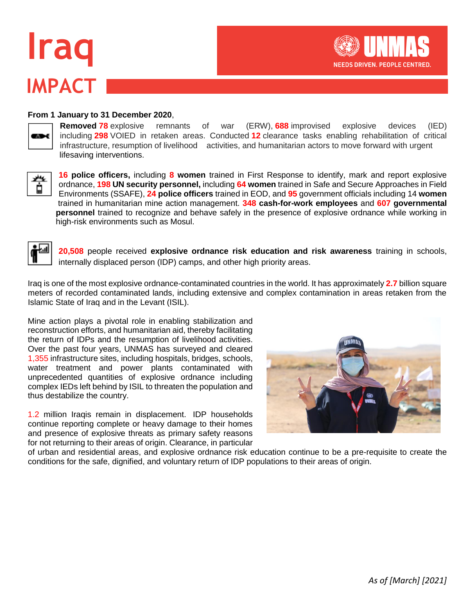# **IMPACT Iraq**



#### **From 1 January to 31 December 2020**,

**CANA** 

**Removed 78** explosive remnants of war (ERW), **688** improvised explosive devices (IED) including **298** VOIED in retaken areas. Conducted **12** clearance tasks enabling rehabilitation of critical infrastructure, resumption of livelihood activities, and humanitarian actors to move forward with urgent lifesaving interventions.



**16 police officers,** including **8 women** trained in First Response to identify, mark and report explosive ordnance, **198 UN security personnel,** including **64 women** trained in Safe and Secure Approaches in Field Environments (SSAFE), **24 police officers** trained in EOD, and **95** government officials including 14 **women**  trained in humanitarian mine action management. **348 cash-for-work employees** and **607 governmental personnel** trained to recognize and behave safely in the presence of explosive ordnance while working in high-risk environments such as Mosul.



**20,508** people received **explosive ordnance risk education and risk awareness** training in schools, internally displaced person (IDP) camps, and other high priority areas.

Iraq is one of the most explosive ordnance-contaminated countries in the world. It has approximately **2.7** billion square meters of recorded contaminated lands, including extensive and complex contamination in areas retaken from the Islamic State of Iraq and in the Levant (ISIL).

Mine action plays a pivotal role in enabling stabilization and reconstruction efforts, and humanitarian aid, thereby facilitating the return of IDPs and the resumption of livelihood activities. Over the past four years, UNMAS has surveyed and cleared 1,355 infrastructure sites, including hospitals, bridges, schools, water treatment and power plants contaminated with unprecedented quantities of explosive ordnance including complex IEDs left behind by ISIL to threaten the population and thus destabilize the country.

1.2 million Iraqis remain in displacement. IDP households continue reporting complete or heavy damage to their homes and presence of explosive threats as primary safety reasons for not returning to their areas of origin. Clearance, in particular



of urban and residential areas, and explosive ordnance risk education continue to be a pre-requisite to create the conditions for the safe, dignified, and voluntary return of IDP populations to their areas of origin.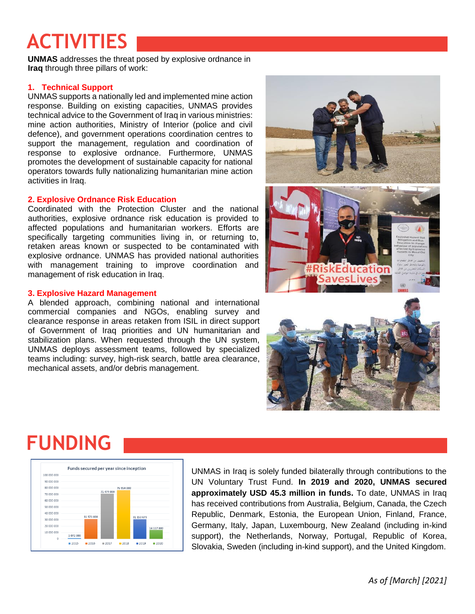## **ACTIVITIES**

**UNMAS** addresses the threat posed by explosive ordnance in **Iraq** through three pillars of work:

#### **1. Technical Support**

UNMAS supports a nationally led and implemented mine action response. Building on existing capacities, UNMAS provides technical advice to the Government of Iraq in various ministries: mine action authorities, Ministry of Interior (police and civil defence), and government operations coordination centres to support the management, regulation and coordination of response to explosive ordnance. Furthermore, UNMAS promotes the development of sustainable capacity for national operators towards fully nationalizing humanitarian mine action activities in Iraq.

#### **2. Explosive Ordnance Risk Education**

Coordinated with the Protection Cluster and the national authorities, explosive ordnance risk education is provided to affected populations and humanitarian workers. Efforts are specifically targeting communities living in, or returning to, retaken areas known or suspected to be contaminated with explosive ordnance. UNMAS has provided national authorities with management training to improve coordination and management of risk education in Iraq.

#### **3. Explosive Hazard Management**

A blended approach, combining national and international commercial companies and NGOs, enabling survey and clearance response in areas retaken from ISIL in direct support of Government of Iraq priorities and UN humanitarian and stabilization plans. When requested through the UN system, UNMAS deploys assessment teams, followed by specialized teams including: survey, high-risk search, battle area clearance, mechanical assets, and/or debris management.



### **FUNDING**



UNMAS in Iraq is solely funded bilaterally through contributions to the UN Voluntary Trust Fund. **In 2019 and 2020, UNMAS secured approximately USD 45.3 million in funds.** To date, UNMAS in Iraq has received contributions from Australia, Belgium, Canada, the Czech Republic, Denmark, Estonia, the European Union, Finland, France, Germany, Italy, Japan, Luxembourg, New Zealand (including in-kind support), the Netherlands, Norway, Portugal, Republic of Korea, Slovakia, Sweden (including in-kind support), and the United Kingdom.